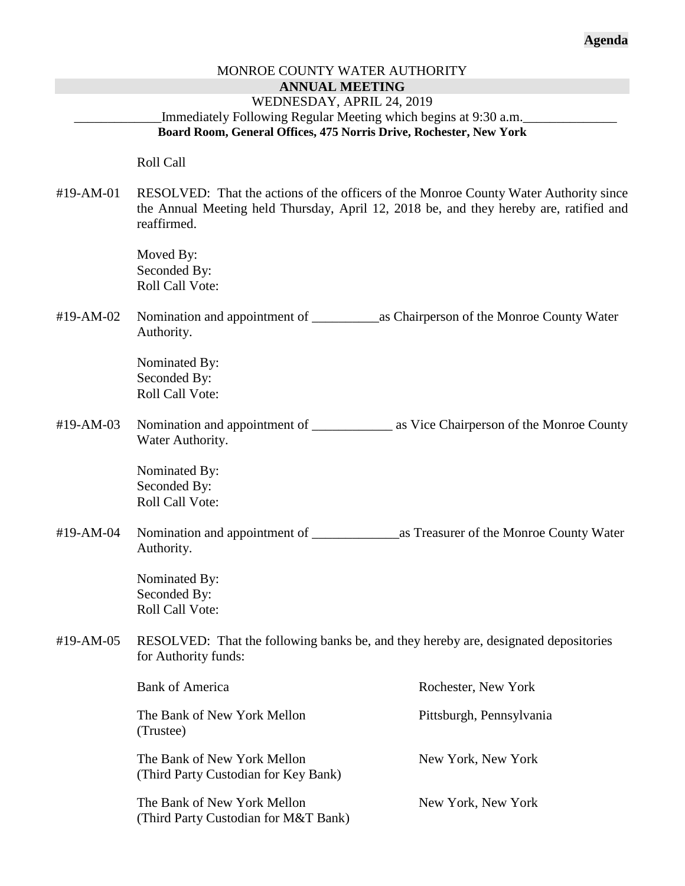# MONROE COUNTY WATER AUTHORITY **ANNUAL MEETING** WEDNESDAY, APRIL 24, 2019 Immediately Following Regular Meeting which begins at 9:30 a.m. **Board Room, General Offices, 475 Norris Drive, Rochester, New York** Roll Call #19-AM-01 RESOLVED: That the actions of the officers of the Monroe County Water Authority since the Annual Meeting held Thursday, April 12, 2018 be, and they hereby are, ratified and reaffirmed. Moved By: Seconded By: Roll Call Vote: #19-AM-02 Nomination and appointment of \_\_\_\_\_\_\_\_\_\_as Chairperson of the Monroe County Water Authority. Nominated By: Seconded By: Roll Call Vote: #19-AM-03 Nomination and appointment of \_\_\_\_\_\_\_\_\_\_\_\_\_ as Vice Chairperson of the Monroe County Water Authority. Nominated By: Seconded By: Roll Call Vote: #19-AM-04 Nomination and appointment of \_\_\_\_\_\_\_\_\_\_\_\_\_as Treasurer of the Monroe County Water Authority. Nominated By: Seconded By: Roll Call Vote: #19-AM-05 RESOLVED: That the following banks be, and they hereby are, designated depositories for Authority funds: Bank of America Rochester, New York The Bank of New York Mellon Pittsburgh, Pennsylvania (Trustee) The Bank of New York Mellon New York, New York (Third Party Custodian for Key Bank) The Bank of New York Mellon New York, New York (Third Party Custodian for M&T Bank)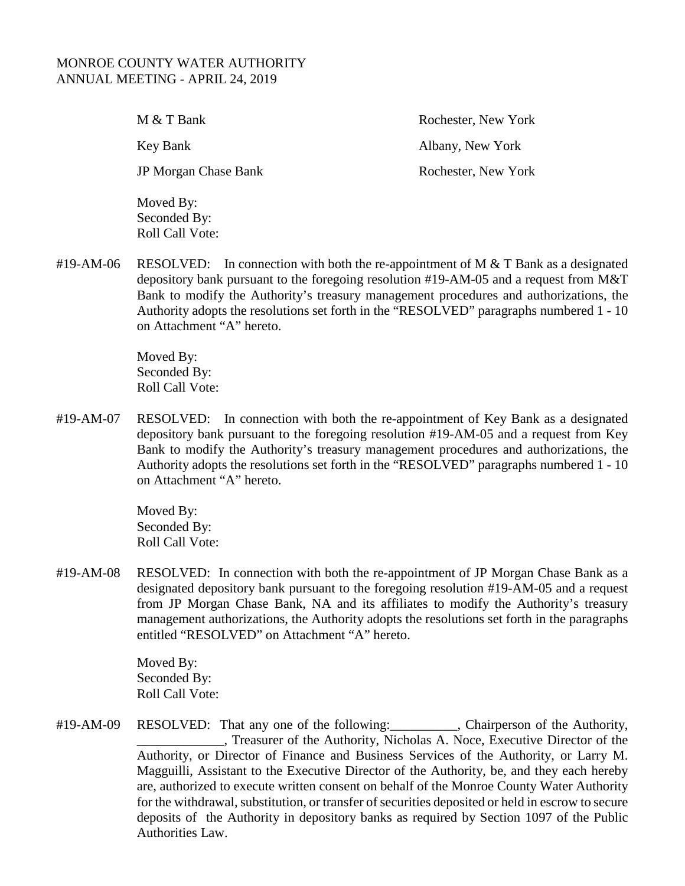### MONROE COUNTY WATER AUTHORITY ANNUAL MEETING - APRIL 24, 2019

M & T Bank Rochester, New York Key Bank Albany, New York JP Morgan Chase Bank Rochester, New York Moved By:

#19-AM-06 RESOLVED: In connection with both the re-appointment of M  $&$  T Bank as a designated depository bank pursuant to the foregoing resolution #19-AM-05 and a request from M&T Bank to modify the Authority's treasury management procedures and authorizations, the Authority adopts the resolutions set forth in the "RESOLVED" paragraphs numbered 1 - 10 on Attachment "A" hereto.

> Moved By: Seconded By: Roll Call Vote:

Seconded By: Roll Call Vote:

#19-AM-07 RESOLVED: In connection with both the re-appointment of Key Bank as a designated depository bank pursuant to the foregoing resolution #19-AM-05 and a request from Key Bank to modify the Authority's treasury management procedures and authorizations, the Authority adopts the resolutions set forth in the "RESOLVED" paragraphs numbered 1 - 10 on Attachment "A" hereto.

> Moved By: Seconded By: Roll Call Vote:

#19-AM-08 RESOLVED: In connection with both the re-appointment of JP Morgan Chase Bank as a designated depository bank pursuant to the foregoing resolution #19-AM-05 and a request from JP Morgan Chase Bank, NA and its affiliates to modify the Authority's treasury management authorizations, the Authority adopts the resolutions set forth in the paragraphs entitled "RESOLVED" on Attachment "A" hereto.

> Moved By: Seconded By: Roll Call Vote:

#19-AM-09 RESOLVED: That any one of the following:\_\_\_\_\_\_\_\_\_\_, Chairperson of the Authority, Treasurer of the Authority, Nicholas A. Noce, Executive Director of the Authority, or Director of Finance and Business Services of the Authority, or Larry M. Magguilli, Assistant to the Executive Director of the Authority, be, and they each hereby are, authorized to execute written consent on behalf of the Monroe County Water Authority for the withdrawal, substitution, or transfer of securities deposited or held in escrow to secure deposits of the Authority in depository banks as required by Section 1097 of the Public Authorities Law.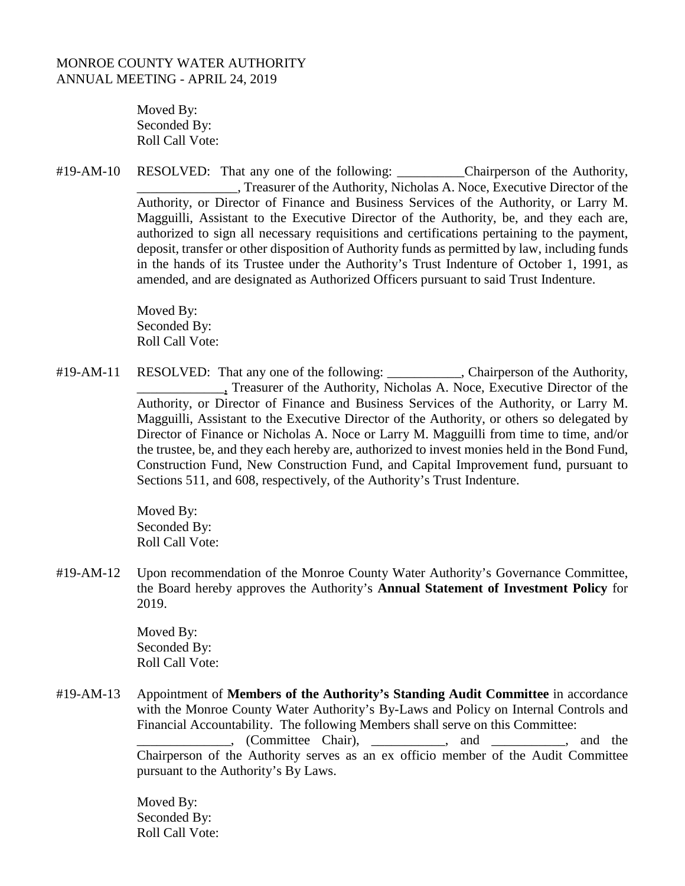### MONROE COUNTY WATER AUTHORITY ANNUAL MEETING - APRIL 24, 2019

Moved By: Seconded By: Roll Call Vote:

#19-AM-10 RESOLVED: That any one of the following: \_\_\_\_\_\_\_\_\_\_Chairperson of the Authority, Treasurer of the Authority, Nicholas A. Noce, Executive Director of the Authority, or Director of Finance and Business Services of the Authority, or Larry M. Magguilli, Assistant to the Executive Director of the Authority, be, and they each are, authorized to sign all necessary requisitions and certifications pertaining to the payment, deposit, transfer or other disposition of Authority funds as permitted by law, including funds in the hands of its Trustee under the Authority's Trust Indenture of October 1, 1991, as amended, and are designated as Authorized Officers pursuant to said Trust Indenture.

> Moved By: Seconded By: Roll Call Vote:

#19-AM-11 RESOLVED: That any one of the following: \_\_\_\_\_\_\_\_\_, Chairperson of the Authority, Treasurer of the Authority, Nicholas A. Noce, Executive Director of the Authority, or Director of Finance and Business Services of the Authority, or Larry M. Magguilli, Assistant to the Executive Director of the Authority, or others so delegated by Director of Finance or Nicholas A. Noce or Larry M. Magguilli from time to time, and/or the trustee, be, and they each hereby are, authorized to invest monies held in the Bond Fund, Construction Fund, New Construction Fund, and Capital Improvement fund, pursuant to Sections 511, and 608, respectively, of the Authority's Trust Indenture.

> Moved By: Seconded By: Roll Call Vote:

#19-AM-12 Upon recommendation of the Monroe County Water Authority's Governance Committee, the Board hereby approves the Authority's **Annual Statement of Investment Policy** for 2019.

> Moved By: Seconded By: Roll Call Vote:

#19-AM-13 Appointment of **Members of the Authority's Standing Audit Committee** in accordance with the Monroe County Water Authority's By-Laws and Policy on Internal Controls and Financial Accountability. The following Members shall serve on this Committee: committee Chair), and and the set of the set of the set of the set of the set of the set of the set of the set of the set of the set of the set of the set of the set of the set of the set of the set of the set of the set o Chairperson of the Authority serves as an ex officio member of the Audit Committee pursuant to the Authority's By Laws.

> Moved By: Seconded By: Roll Call Vote: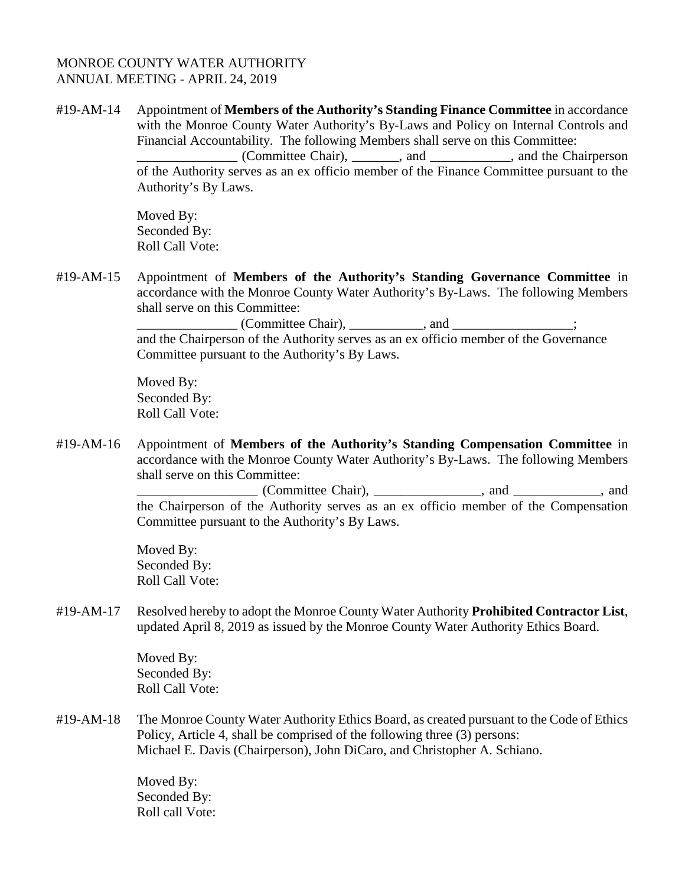### MONROE COUNTY WATER AUTHORITY ANNUAL MEETING - APRIL 24, 2019

#19-AM-14 Appointment of **Members of the Authority's Standing Finance Committee** in accordance with the Monroe County Water Authority's By-Laws and Policy on Internal Controls and Financial Accountability. The following Members shall serve on this Committee: \_\_\_\_\_\_\_\_\_\_\_\_\_\_\_ (Committee Chair), \_\_\_\_\_\_\_, and \_\_\_\_\_\_\_\_\_\_\_\_, and the Chairperson of the Authority serves as an ex officio member of the Finance Committee pursuant to the Authority's By Laws.

> Moved By: Seconded By: Roll Call Vote:

#19-AM-15 Appointment of **Members of the Authority's Standing Governance Committee** in accordance with the Monroe County Water Authority's By-Laws. The following Members shall serve on this Committee:

> \_\_\_\_\_\_\_\_\_\_\_\_\_\_\_ (Committee Chair), \_\_\_\_\_\_\_\_\_\_\_, and \_\_\_\_\_\_\_\_\_\_\_\_\_\_\_\_\_\_; and the Chairperson of the Authority serves as an ex officio member of the Governance Committee pursuant to the Authority's By Laws.

Moved By: Seconded By: Roll Call Vote:

#19-AM-16 Appointment of **Members of the Authority's Standing Compensation Committee** in accordance with the Monroe County Water Authority's By-Laws. The following Members shall serve on this Committee:

> \_\_\_\_\_\_\_\_\_\_\_\_\_\_\_\_\_\_ (Committee Chair), \_\_\_\_\_\_\_\_\_\_\_\_\_\_\_\_, and \_\_\_\_\_\_\_\_\_\_\_\_\_, and the Chairperson of the Authority serves as an ex officio member of the Compensation Committee pursuant to the Authority's By Laws.

Moved By: Seconded By: Roll Call Vote:

#19-AM-17 Resolved hereby to adopt the Monroe County Water Authority **Prohibited Contractor List**, updated April 8, 2019 as issued by the Monroe County Water Authority Ethics Board.

> Moved By: Seconded By: Roll Call Vote:

#19-AM-18 The Monroe County Water Authority Ethics Board, as created pursuant to the Code of Ethics Policy, Article 4, shall be comprised of the following three (3) persons: Michael E. Davis (Chairperson), John DiCaro, and Christopher A. Schiano.

> Moved By: Seconded By: Roll call Vote: